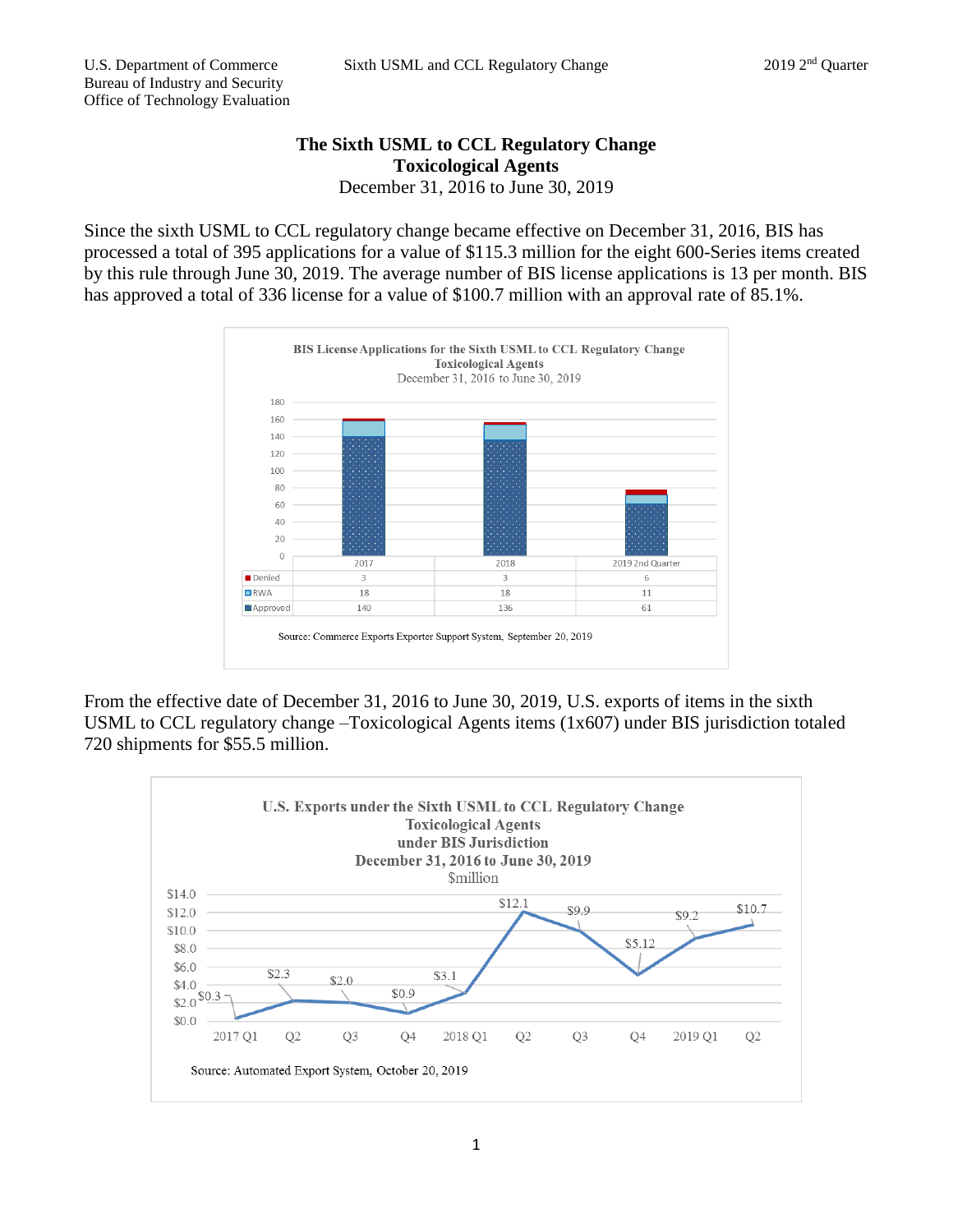## **The Sixth USML to CCL Regulatory Change Toxicological Agents** December 31, 2016 to June 30, 2019

Since the sixth USML to CCL regulatory change became effective on December 31, 2016, BIS has processed a total of 395 applications for a value of \$115.3 million for the eight 600-Series items created by this rule through June 30, 2019. The average number of BIS license applications is 13 per month. BIS has approved a total of 336 license for a value of \$100.7 million with an approval rate of 85.1%.



From the effective date of December 31, 2016 to June 30, 2019, U.S. exports of items in the sixth USML to CCL regulatory change –Toxicological Agents items (1x607) under BIS jurisdiction totaled 720 shipments for \$55.5 million.

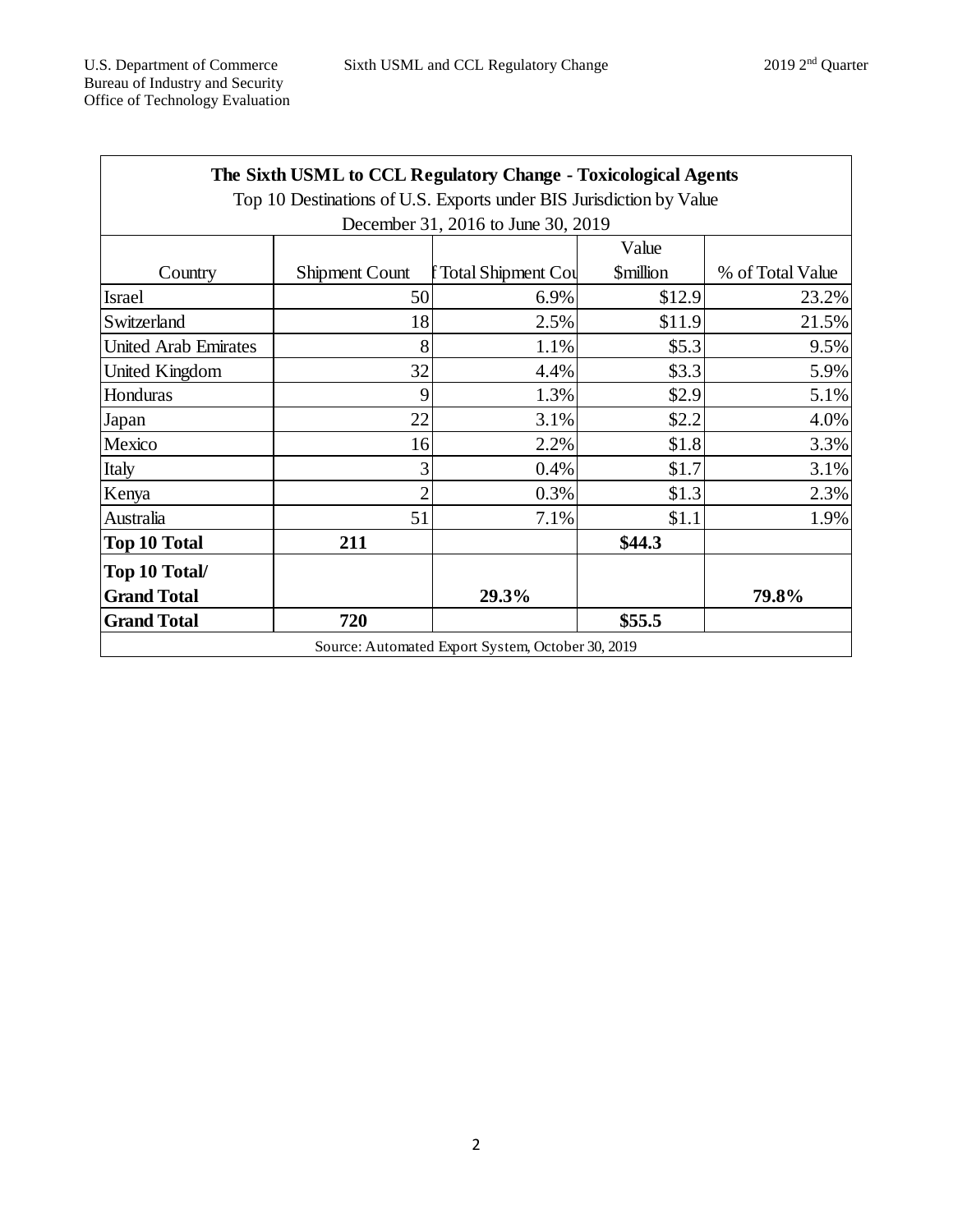| The Sixth USML to CCL Regulatory Change - Toxicological Agents      |                       |                           |                               |                  |
|---------------------------------------------------------------------|-----------------------|---------------------------|-------------------------------|------------------|
| Top 10 Destinations of U.S. Exports under BIS Jurisdiction by Value |                       |                           |                               |                  |
| December 31, 2016 to June 30, 2019                                  |                       |                           |                               |                  |
|                                                                     |                       |                           | Value                         |                  |
| Country                                                             | <b>Shipment Count</b> | <b>Total Shipment Cou</b> | <b><i><u>Smillion</u></i></b> | % of Total Value |
| <b>Israel</b>                                                       | 50                    | 6.9%                      | \$12.9                        | 23.2%            |
| Switzerland                                                         | 18                    | 2.5%                      | \$11.9                        | 21.5%            |
| <b>United Arab Emirates</b>                                         | 8                     | 1.1%                      | \$5.3                         | 9.5%             |
| United Kingdom                                                      | 32                    | 4.4%                      | \$3.3                         | 5.9%             |
| Honduras                                                            | 9                     | 1.3%                      | \$2.9                         | 5.1%             |
| Japan                                                               | 22                    | 3.1%                      | \$2.2                         | 4.0%             |
| Mexico                                                              | 16                    | 2.2%                      | \$1.8                         | 3.3%             |
| Italy                                                               | 3                     | 0.4%                      | \$1.7                         | 3.1%             |
| Kenya                                                               | $\overline{2}$        | 0.3%                      | \$1.3                         | 2.3%             |
| Australia                                                           | 51                    | 7.1%                      | \$1.1                         | 1.9%             |
| <b>Top 10 Total</b>                                                 | 211                   |                           | \$44.3                        |                  |
| Top 10 Total/                                                       |                       |                           |                               |                  |
| <b>Grand Total</b>                                                  |                       | 29.3%                     |                               | 79.8%            |
| <b>Grand Total</b>                                                  | 720                   |                           | \$55.5                        |                  |
| Source: Automated Export System, October 30, 2019                   |                       |                           |                               |                  |